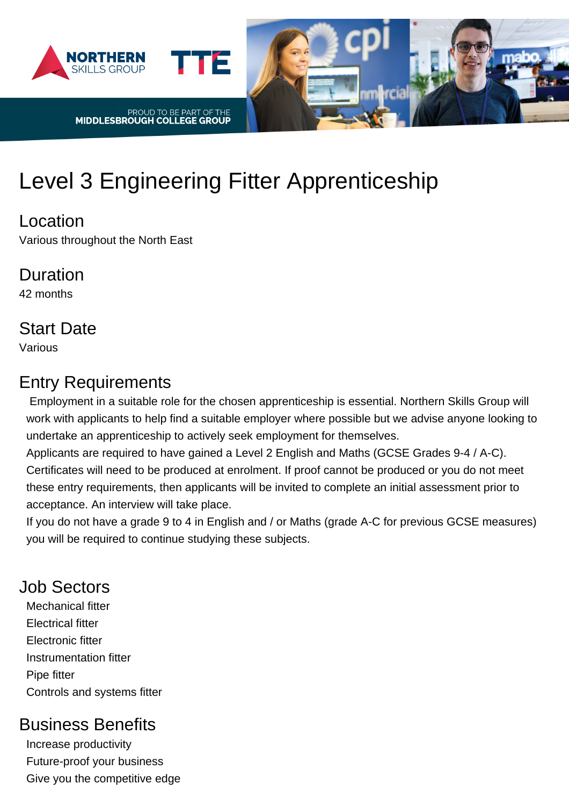

# Level 3 Engineering Fitter Apprenticeship

#### Location

Various throughout the North East

#### Duration 42 months

# Start Date

Various

### Entry Requirements

 Employment in a suitable role for the chosen apprenticeship is essential. Northern Skills Group will work with applicants to help find a suitable employer where possible but we advise anyone looking to undertake an apprenticeship to actively seek employment for themselves.

Applicants are required to have gained a Level 2 English and Maths (GCSE Grades 9-4 / A-C). Certificates will need to be produced at enrolment. If proof cannot be produced or you do not meet these entry requirements, then applicants will be invited to complete an initial assessment prior to acceptance. An interview will take place.

If you do not have a grade 9 to 4 in English and / or Maths (grade A-C for previous GCSE measures) you will be required to continue studying these subjects.

## Job Sectors

Mechanical fitter Electrical fitter Electronic fitter Instrumentation fitter Pipe fitter Controls and systems fitter

## Business Benefits

Increase productivity Future-proof your business Give you the competitive edge